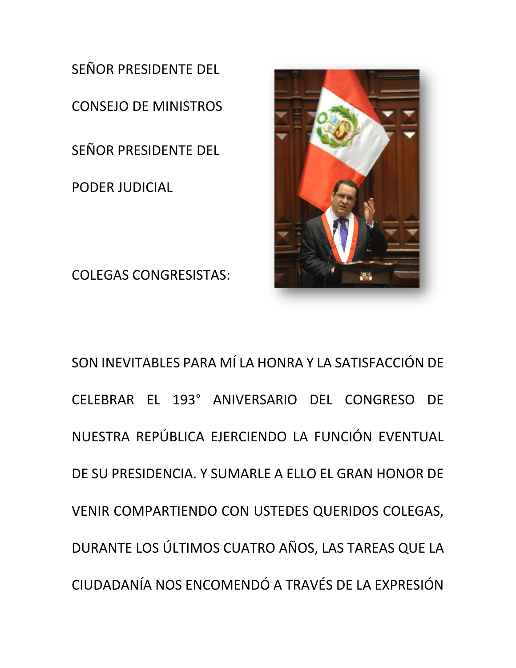SEÑOR PRESIDENTE DEL CONSEJO DE MINISTROS SEÑOR PRESIDENTE DEL PODER JUDICIAL

COLEGAS CONGRESISTAS:



SON INEVITABLES PARA MÍ LA HONRA Y LA SATISFACCIÓN DE CELEBRAR EL 193° ANIVERSARIO DEL CONGRESO DE NUESTRA REPÚBLICA EJERCIENDO LA FUNCIÓN EVENTUAL DE SU PRESIDENCIA. Y SUMARLE A ELLO EL GRAN HONOR DE VENIR COMPARTIENDO CON USTEDES QUERIDOS COLEGAS, DURANTE LOS ÚLTIMOS CUATRO AÑOS, LAS TAREAS QUE LA CIUDADANÍA NOS ENCOMENDÓ A TRAVÉS DE LA EXPRESIÓN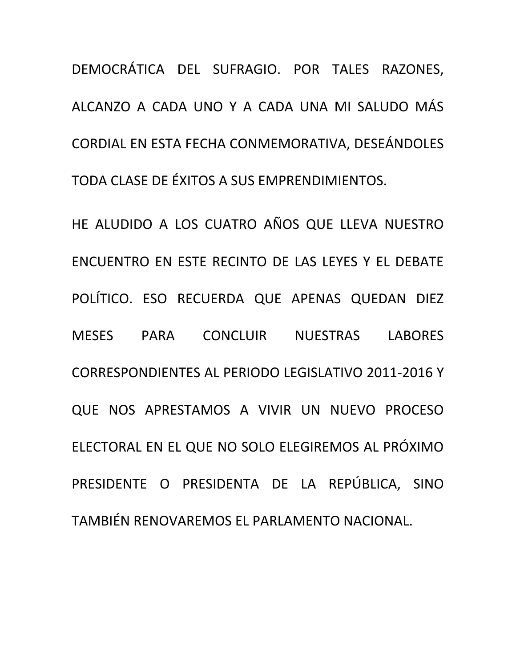DEMOCRÁTICA DEL SUFRAGIO. POR TALES RAZONES, ALCANZO A CADA UNO Y A CADA UNA MI SALUDO MÁS CORDIAL EN ESTA FECHA CONMEMORATIVA, DESEÁNDOLES TODA CLASE DE ÉXITOS A SUS EMPRENDIMIENTOS.

HE ALUDIDO A LOS CUATRO AÑOS QUE LLEVA NUESTRO ENCUENTRO EN ESTE RECINTO DE LAS LEYES Y EL DEBATE POLÍTICO. ESO RECUERDA QUE APENAS QUEDAN DIEZ MESES PARA CONCLUIR NUESTRAS LABORES CORRESPONDIENTES AL PERIODO LEGISLATIVO 2011-2016 Y QUE NOS APRESTAMOS A VIVIR UN NUEVO PROCESO ELECTORAL EN EL QUE NO SOLO ELEGIREMOS AL PRÓXIMO PRESIDENTE O PRESIDENTA DE LA REPÚBLICA, SINO TAMBIÉN RENOVAREMOS EL PARLAMENTO NACIONAL.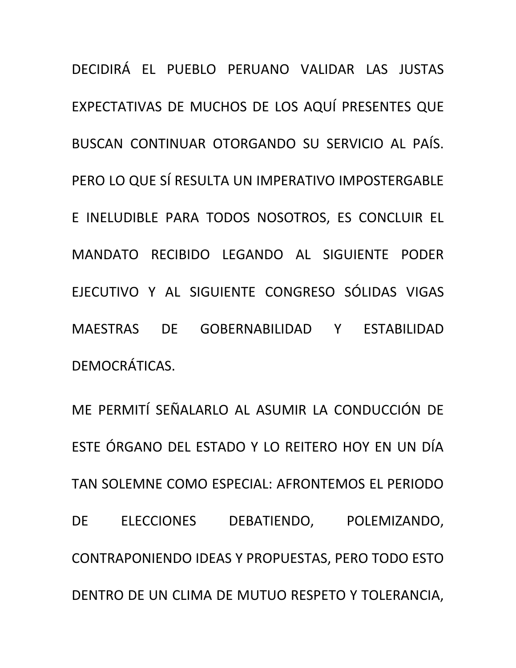DECIDIRÁ EL PUEBLO PERUANO VALIDAR LAS JUSTAS EXPECTATIVAS DE MUCHOS DE LOS AQUÍ PRESENTES QUE BUSCAN CONTINUAR OTORGANDO SU SERVICIO AL PAÍS. PERO LO QUE SÍ RESULTA UN IMPERATIVO IMPOSTERGABLE E INELUDIBLE PARA TODOS NOSOTROS, ES CONCLUIR EL MANDATO RECIBIDO LEGANDO AL SIGUIENTE PODER EJECUTIVO Y AL SIGUIENTE CONGRESO SÓLIDAS VIGAS MAESTRAS DE GOBERNABILIDAD Y ESTABILIDAD DEMOCRÁTICAS.

ME PERMITÍ SEÑALARLO AL ASUMIR LA CONDUCCIÓN DE ESTE ÓRGANO DEL ESTADO Y LO REITERO HOY EN UN DÍA TAN SOLEMNE COMO ESPECIAL: AFRONTEMOS EL PERIODO DE ELECCIONES DEBATIENDO, POLEMIZANDO, CONTRAPONIENDO IDEAS Y PROPUESTAS, PERO TODO ESTO DENTRO DE UN CLIMA DE MUTUO RESPETO Y TOLERANCIA,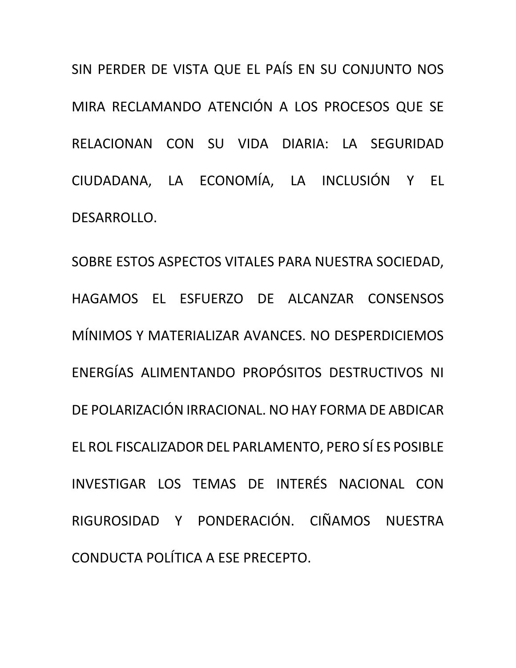SIN PERDER DE VISTA QUE EL PAÍS EN SU CONJUNTO NOS MIRA RECLAMANDO ATENCIÓN A LOS PROCESOS QUE SE RELACIONAN CON SU VIDA DIARIA: LA SEGURIDAD CIUDADANA, LA ECONOMÍA, LA INCLUSIÓN Y EL DESARROLLO.

SOBRE ESTOS ASPECTOS VITALES PARA NUESTRA SOCIEDAD, HAGAMOS EL ESFUERZO DE ALCANZAR CONSENSOS MÍNIMOS Y MATERIALIZAR AVANCES. NO DESPERDICIEMOS ENERGÍAS ALIMENTANDO PROPÓSITOS DESTRUCTIVOS NI DE POLARIZACIÓN IRRACIONAL. NO HAY FORMA DE ABDICAR EL ROL FISCALIZADOR DEL PARLAMENTO, PERO SÍ ES POSIBLE INVESTIGAR LOS TEMAS DE INTERÉS NACIONAL CON RIGUROSIDAD Y PONDERACIÓN. CIÑAMOS NUESTRA CONDUCTA POLÍTICA A ESE PRECEPTO.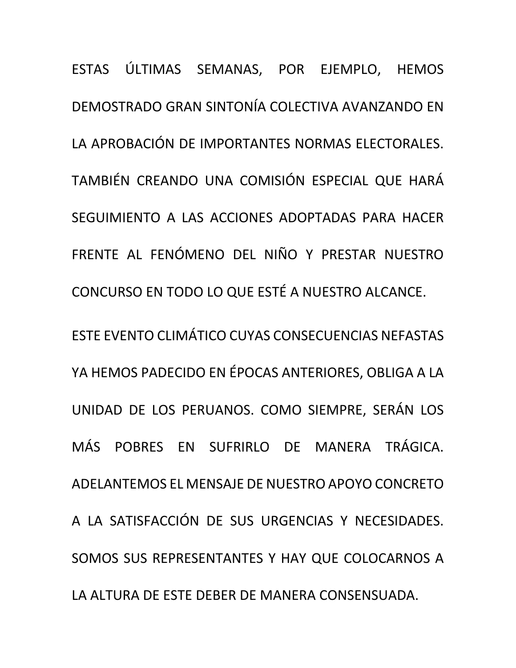ESTAS ÚLTIMAS SEMANAS, POR EJEMPLO, HEMOS DEMOSTRADO GRAN SINTONÍA COLECTIVA AVANZANDO EN LA APROBACIÓN DE IMPORTANTES NORMAS ELECTORALES. TAMBIÉN CREANDO UNA COMISIÓN ESPECIAL QUE HARÁ SEGUIMIENTO A LAS ACCIONES ADOPTADAS PARA HACER FRENTE AL FENÓMENO DEL NIÑO Y PRESTAR NUESTRO CONCURSO EN TODO LO QUE ESTÉ A NUESTRO ALCANCE.

ESTE EVENTO CLIMÁTICO CUYAS CONSECUENCIAS NEFASTAS YA HEMOS PADECIDO EN ÉPOCAS ANTERIORES, OBLIGA A LA UNIDAD DE LOS PERUANOS. COMO SIEMPRE, SERÁN LOS MÁS POBRES EN SUFRIRLO DE MANERA TRÁGICA. ADELANTEMOS EL MENSAJE DE NUESTRO APOYO CONCRETO A LA SATISFACCIÓN DE SUS URGENCIAS Y NECESIDADES. SOMOS SUS REPRESENTANTES Y HAY QUE COLOCARNOS A LA ALTURA DE ESTE DEBER DE MANERA CONSENSUADA.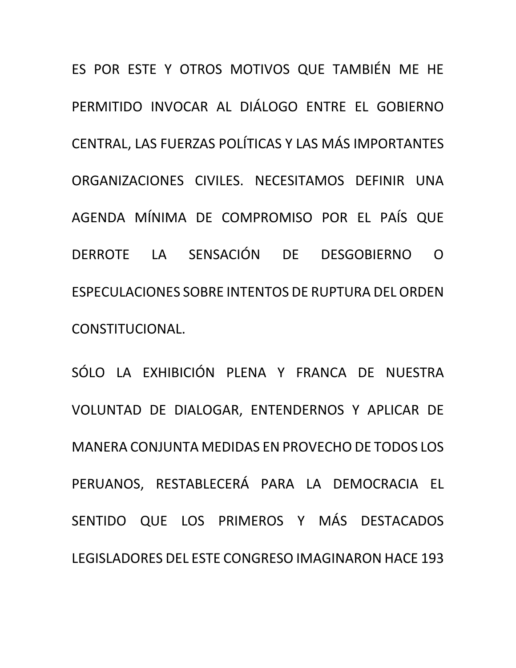ES POR ESTE Y OTROS MOTIVOS QUE TAMBIÉN ME HE PERMITIDO INVOCAR AL DIÁLOGO ENTRE EL GOBIERNO CENTRAL, LAS FUERZAS POLÍTICAS Y LAS MÁS IMPORTANTES ORGANIZACIONES CIVILES. NECESITAMOS DEFINIR UNA AGENDA MÍNIMA DE COMPROMISO POR EL PAÍS QUE DERROTE LA SENSACIÓN DE DESGOBIERNO O ESPECULACIONES SOBRE INTENTOS DE RUPTURA DEL ORDEN CONSTITUCIONAL.

SÓLO LA EXHIBICIÓN PLENA Y FRANCA DE NUESTRA VOLUNTAD DE DIALOGAR, ENTENDERNOS Y APLICAR DE MANERA CONJUNTA MEDIDAS EN PROVECHO DE TODOS LOS PERUANOS, RESTABLECERÁ PARA LA DEMOCRACIA EL SENTIDO QUE LOS PRIMEROS Y MÁS DESTACADOS LEGISLADORES DEL ESTE CONGRESO IMAGINARON HACE 193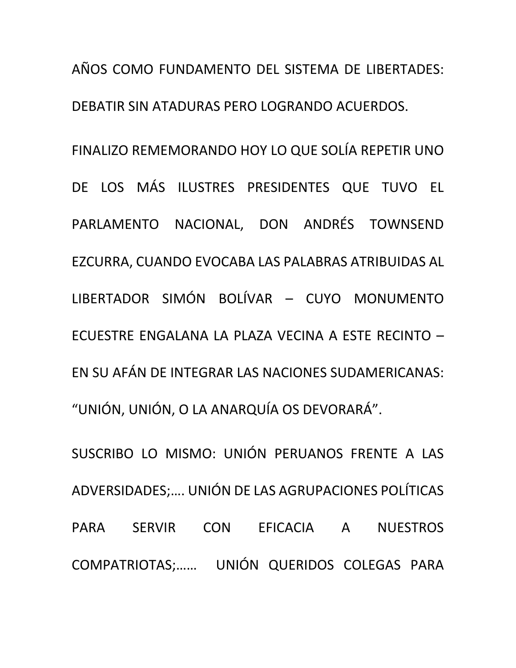AÑOS COMO FUNDAMENTO DEL SISTEMA DE LIBERTADES: DEBATIR SIN ATADURAS PERO LOGRANDO ACUERDOS. FINALIZO REMEMORANDO HOY LO QUE SOLÍA REPETIR UNO DE LOS MÁS ILUSTRES PRESIDENTES QUE TUVO EL PARLAMENTO NACIONAL, DON ANDRÉS TOWNSEND EZCURRA, CUANDO EVOCABA LAS PALABRAS ATRIBUIDAS AL LIBERTADOR SIMÓN BOLÍVAR – CUYO MONUMENTO ECUESTRE ENGALANA LA PLAZA VECINA A ESTE RECINTO – EN SU AFÁN DE INTEGRAR LAS NACIONES SUDAMERICANAS: "UNIÓN, UNIÓN, O LA ANARQUÍA OS DEVORARÁ".

SUSCRIBO LO MISMO: UNIÓN PERUANOS FRENTE A LAS ADVERSIDADES;…. UNIÓN DE LAS AGRUPACIONES POLÍTICAS PARA SERVIR CON EFICACIA A NUESTROS COMPATRIOTAS;…… UNIÓN QUERIDOS COLEGAS PARA